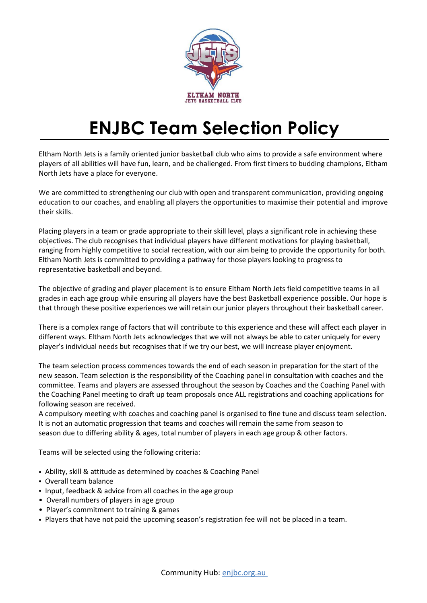

# ENJBC Team Selection Policy

Eltham North Jets is a family oriented junior basketball club who aims to provide a safe environment where players of all abilities will have fun, learn, and be challenged. From first timers to budding champions, Eltham North Jets have a place for everyone.

We are committed to strengthening our club with open and transparent communication, providing ongoing education to our coaches, and enabling all players the opportunities to maximise their potential and improve their skills.

Placing players in a team or grade appropriate to their skill level, plays a significant role in achieving these objectives. The club recognises that individual players have different motivations for playing basketball, ranging from highly competitive to social recreation, with our aim being to provide the opportunity for both. Eltham North Jets is committed to providing a pathway for those players looking to progress to representative basketball and beyond.

The objective of grading and player placement is to ensure Eltham North Jets field competitive teams in all grades in each age group while ensuring all players have the best Basketball experience possible. Our hope is that through these positive experiences we will retain our junior players throughout their basketball career.

There is a complex range of factors that will contribute to this experience and these will affect each player in different ways. Eltham North Jets acknowledges that we will not always be able to cater uniquely for every player's individual needs but recognises that if we try our best, we will increase player enjoyment.

The team selection process commences towards the end of each season in preparation for the start of the new season. Team selection is the responsibility of the Coaching panel in consultation with coaches and the committee. Teams and players are assessed throughout the season by Coaches and the Coaching Panel with the Coaching Panel meeting to draft up team proposals once ALL registrations and coaching applications for following season are received.

A compulsory meeting with coaches and coaching panel is organised to fine tune and discuss team selection. It is not an automatic progression that teams and coaches will remain the same from season to season due to differing ability & ages, total number of players in each age group & other factors.

Teams will be selected using the following criteria:

- Ability, skill & attitude as determined by coaches & Coaching Panel
- Overall team balance
- Input, feedback & advice from all coaches in the age group
- Overall numbers of players in age group
- Player's commitment to training & games
- Players that have not paid the upcoming season's registration fee will not be placed in a team.